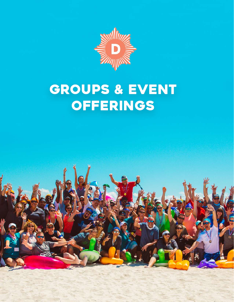

### **GROUPS & EVENT OFFERINGS**

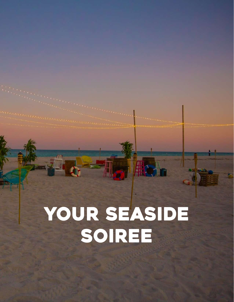# your seaside soiree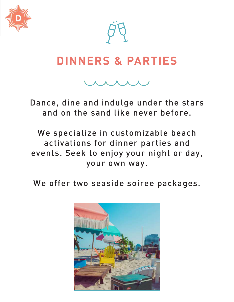

### **DINNERS & PARTIES**

Dance, dine and indulge under the stars and on the sand like never before.

We specialize in customizable beach activations for dinner parties and events. Seek to enjoy your night or day, your own way.

We offer two seaside soiree packages.

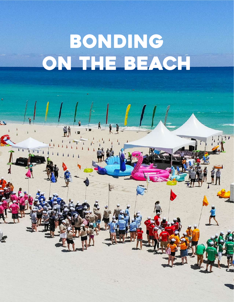## Bonding on the beach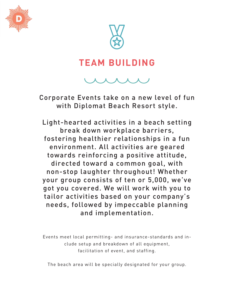



#### **TEAM BUILDING**

Corporate Events take on a new level of fun with Diplomat Beach Resort style.

Light-hearted activities in a beach setting break down workplace barriers, fostering healthier relationships in a fun environment. All activities are geared towards reinforcing a positive attitude, directed toward a common goal, with non-stop laughter throughout! Whether your group consists of ten or 5,000, we've got you covered. We will work with you to tailor activities based on your company's needs, followed by impeccable planning and implementation.

Events meet local permitting- and insurance-standards and include setup and breakdown of all equipment, facilitation of event, and staffing.

The beach area will be specially designated for your group.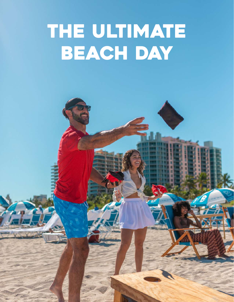### THE ULTIMATE BEACH DAY

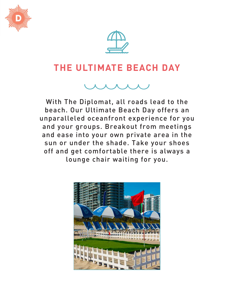



#### **THE ULTIMATE BEACH DAY**

With The Diplomat, all roads lead to the beach. Our Ultimate Beach Day offers an unparalleled oceanfront experience for you and your groups. Breakout from meetings and ease into your own private area in the sun or under the shade. Take your shoes off and get comfortable there is always a lounge chair waiting for you.

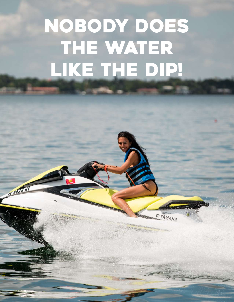## NOBODY DOES THE WATER like THE DIP!

**SYAMAHA** 

A475 RI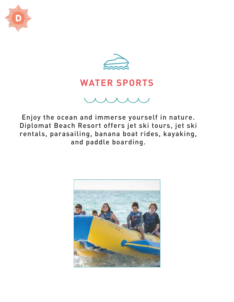



#### **WATER SPORTS**

Enjoy the ocean and immerse yourself in nature. Diplomat Beach Resort offers jet ski tours, jet ski rentals, parasailing, banana boat rides, kayaking, and paddle boarding.